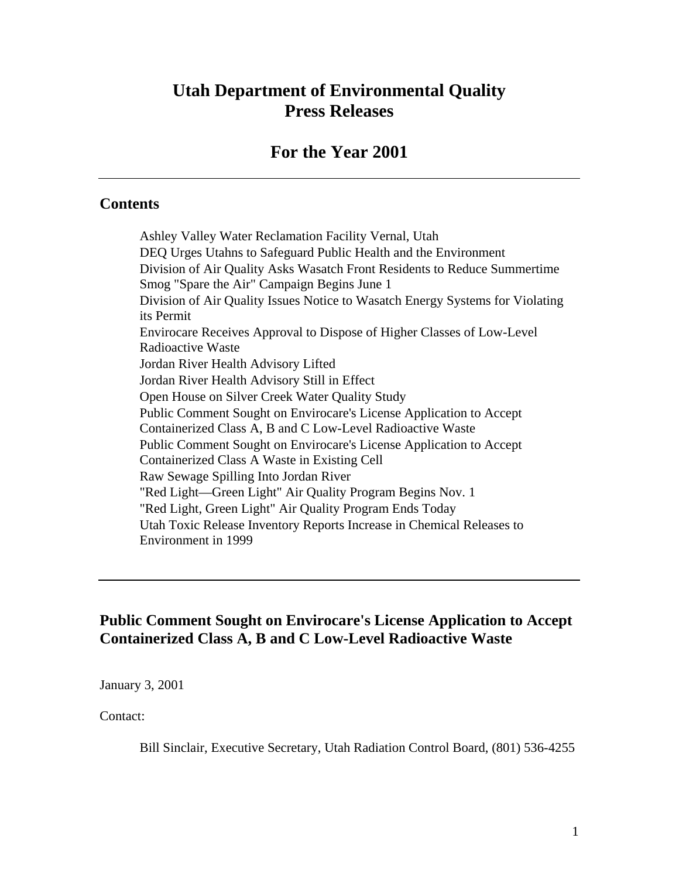# **Utah Department of Environmental Quality Press Releases**

### **For the Year 2001**

#### **Contents**

Ashley Valley Water Reclamation Facility Vernal, Utah DEQ Urges Utahns to Safeguard Public Health and the Environment Division of Air Quality Asks Wasatch Front Residents to Reduce Summertime Smog "Spare the Air" Campaign Begins June 1 Division of Air Quality Issues Notice to Wasatch Energy Systems for Violating its Permit Envirocare Receives Approval to Dispose of Higher Classes of Low-Level Radioactive Waste Jordan River Health Advisory Lifted Jordan River Health Advisory Still in Effect Open House on Silver Creek Water Quality Study Public Comment Sought on Envirocare's License Application to Accept Containerized Class A, B and C Low-Level Radioactive Waste Public Comment Sought on Envirocare's License Application to Accept Containerized Class A Waste in Existing Cell Raw Sewage Spilling Into Jordan River "Red Light—Green Light" Air Quality Program Begins Nov. 1 "Red Light, Green Light" Air Quality Program Ends Today Utah Toxic Release Inventory Reports Increase in Chemical Releases to Environment in 1999

#### **Public Comment Sought on Envirocare's License Application to Accept Containerized Class A, B and C Low-Level Radioactive Waste**

January 3, 2001

Contact:

Bill Sinclair, Executive Secretary, Utah Radiation Control Board, (801) 536-4255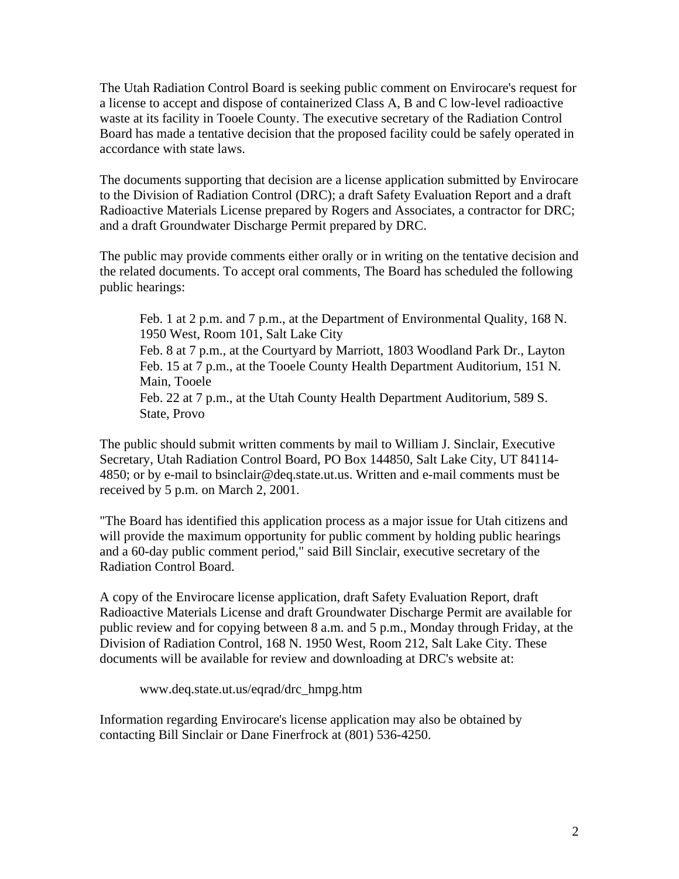The Utah Radiation Control Board is seeking public comment on Envirocare's request for a license to accept and dispose of containerized Class A, B and C low-level radioactive waste at its facility in Tooele County. The executive secretary of the Radiation Control Board has made a tentative decision that the proposed facility could be safely operated in accordance with state laws.

The documents supporting that decision are a license application submitted by Envirocare to the Division of Radiation Control (DRC); a draft Safety Evaluation Report and a draft Radioactive Materials License prepared by Rogers and Associates, a contractor for DRC; and a draft Groundwater Discharge Permit prepared by DRC.

The public may provide comments either orally or in writing on the tentative decision and the related documents. To accept oral comments, The Board has scheduled the following public hearings:

Feb. 1 at 2 p.m. and 7 p.m., at the Department of Environmental Quality, 168 N. 1950 West, Room 101, Salt Lake City

Feb. 8 at 7 p.m., at the Courtyard by Marriott, 1803 Woodland Park Dr., Layton Feb. 15 at 7 p.m., at the Tooele County Health Department Auditorium, 151 N. Main, Tooele

Feb. 22 at 7 p.m., at the Utah County Health Department Auditorium, 589 S. State, Provo

The public should submit written comments by mail to William J. Sinclair, Executive Secretary, Utah Radiation Control Board, PO Box 144850, Salt Lake City, UT 84114- 4850; or by e-mail to bsinclair@deq.state.ut.us. Written and e-mail comments must be received by 5 p.m. on March 2, 2001.

"The Board has identified this application process as a major issue for Utah citizens and will provide the maximum opportunity for public comment by holding public hearings and a 60-day public comment period," said Bill Sinclair, executive secretary of the Radiation Control Board.

A copy of the Envirocare license application, draft Safety Evaluation Report, draft Radioactive Materials License and draft Groundwater Discharge Permit are available for public review and for copying between 8 a.m. and 5 p.m., Monday through Friday, at the Division of Radiation Control, 168 N. 1950 West, Room 212, Salt Lake City. These documents will be available for review and downloading at DRC's website at:

www.deq.state.ut.us/eqrad/drc\_hmpg.htm

Information regarding Envirocare's license application may also be obtained by contacting Bill Sinclair or Dane Finerfrock at (801) 536-4250.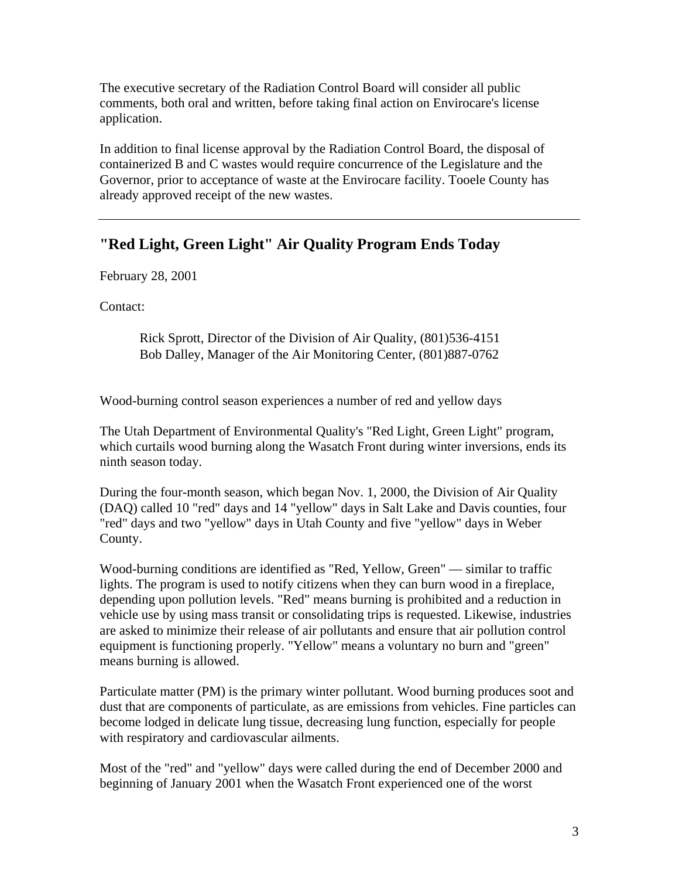The executive secretary of the Radiation Control Board will consider all public comments, both oral and written, before taking final action on Envirocare's license application.

In addition to final license approval by the Radiation Control Board, the disposal of containerized B and C wastes would require concurrence of the Legislature and the Governor, prior to acceptance of waste at the Envirocare facility. Tooele County has already approved receipt of the new wastes.

## **"Red Light, Green Light" Air Quality Program Ends Today**

February 28, 2001

Contact:

Rick Sprott, Director of the Division of Air Quality, (801)536-4151 Bob Dalley, Manager of the Air Monitoring Center, (801)887-0762

Wood-burning control season experiences a number of red and yellow days

The Utah Department of Environmental Quality's "Red Light, Green Light" program, which curtails wood burning along the Wasatch Front during winter inversions, ends its ninth season today.

During the four-month season, which began Nov. 1, 2000, the Division of Air Quality (DAQ) called 10 "red" days and 14 "yellow" days in Salt Lake and Davis counties, four "red" days and two "yellow" days in Utah County and five "yellow" days in Weber County.

Wood-burning conditions are identified as "Red, Yellow, Green" — similar to traffic lights. The program is used to notify citizens when they can burn wood in a fireplace, depending upon pollution levels. "Red" means burning is prohibited and a reduction in vehicle use by using mass transit or consolidating trips is requested. Likewise, industries are asked to minimize their release of air pollutants and ensure that air pollution control equipment is functioning properly. "Yellow" means a voluntary no burn and "green" means burning is allowed.

Particulate matter (PM) is the primary winter pollutant. Wood burning produces soot and dust that are components of particulate, as are emissions from vehicles. Fine particles can become lodged in delicate lung tissue, decreasing lung function, especially for people with respiratory and cardiovascular ailments.

Most of the "red" and "yellow" days were called during the end of December 2000 and beginning of January 2001 when the Wasatch Front experienced one of the worst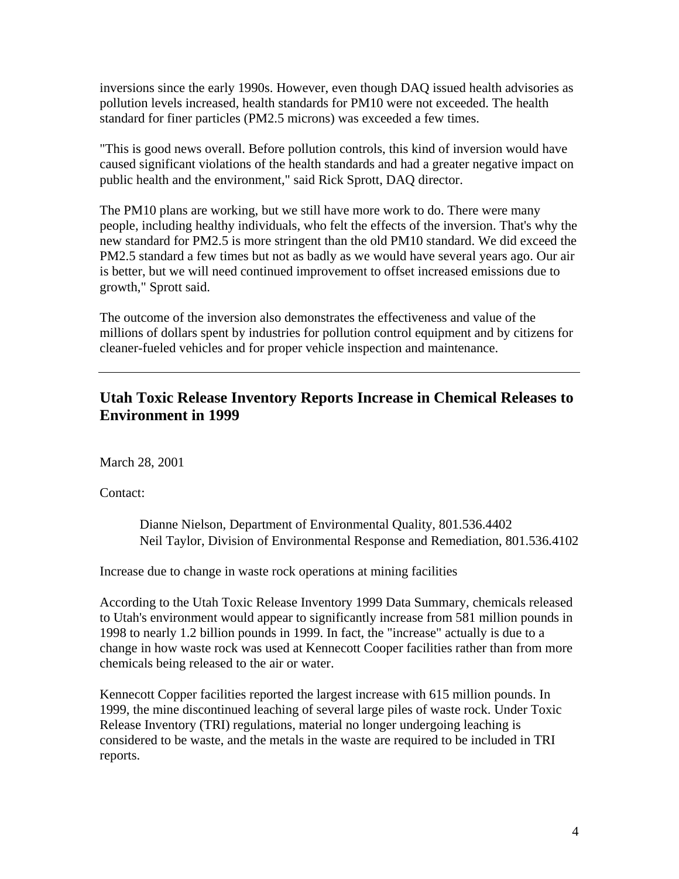inversions since the early 1990s. However, even though DAQ issued health advisories as pollution levels increased, health standards for PM10 were not exceeded. The health standard for finer particles (PM2.5 microns) was exceeded a few times.

"This is good news overall. Before pollution controls, this kind of inversion would have caused significant violations of the health standards and had a greater negative impact on public health and the environment," said Rick Sprott, DAQ director.

The PM10 plans are working, but we still have more work to do. There were many people, including healthy individuals, who felt the effects of the inversion. That's why the new standard for PM2.5 is more stringent than the old PM10 standard. We did exceed the PM2.5 standard a few times but not as badly as we would have several years ago. Our air is better, but we will need continued improvement to offset increased emissions due to growth," Sprott said.

The outcome of the inversion also demonstrates the effectiveness and value of the millions of dollars spent by industries for pollution control equipment and by citizens for cleaner-fueled vehicles and for proper vehicle inspection and maintenance.

#### **Utah Toxic Release Inventory Reports Increase in Chemical Releases to Environment in 1999**

March 28, 2001

Contact:

Dianne Nielson, Department of Environmental Quality, 801.536.4402 Neil Taylor, Division of Environmental Response and Remediation, 801.536.4102

Increase due to change in waste rock operations at mining facilities

According to the Utah Toxic Release Inventory 1999 Data Summary, chemicals released to Utah's environment would appear to significantly increase from 581 million pounds in 1998 to nearly 1.2 billion pounds in 1999. In fact, the "increase" actually is due to a change in how waste rock was used at Kennecott Cooper facilities rather than from more chemicals being released to the air or water.

Kennecott Copper facilities reported the largest increase with 615 million pounds. In 1999, the mine discontinued leaching of several large piles of waste rock. Under Toxic Release Inventory (TRI) regulations, material no longer undergoing leaching is considered to be waste, and the metals in the waste are required to be included in TRI reports.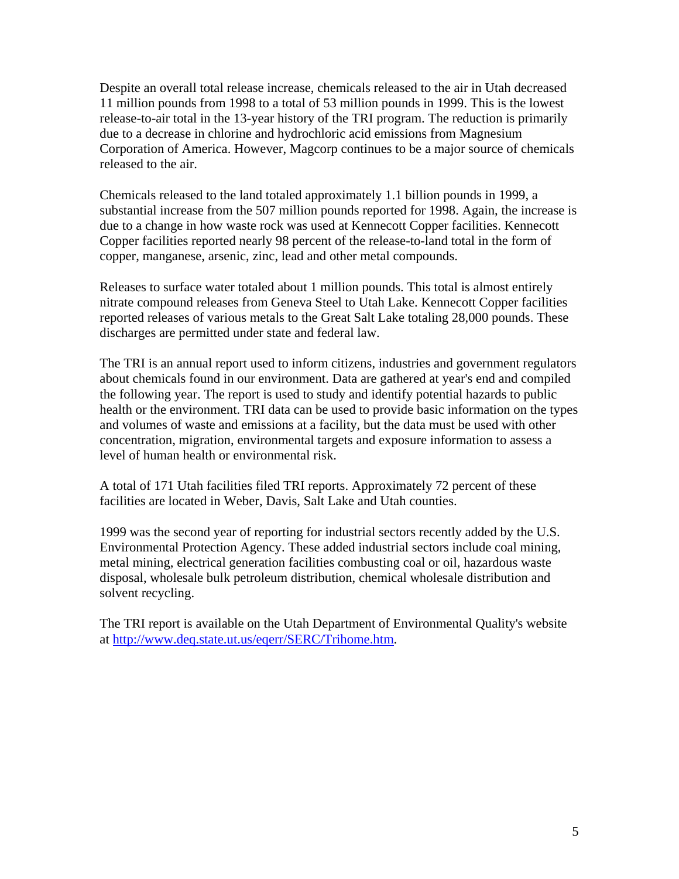Despite an overall total release increase, chemicals released to the air in Utah decreased 11 million pounds from 1998 to a total of 53 million pounds in 1999. This is the lowest release-to-air total in the 13-year history of the TRI program. The reduction is primarily due to a decrease in chlorine and hydrochloric acid emissions from Magnesium Corporation of America. However, Magcorp continues to be a major source of chemicals released to the air.

Chemicals released to the land totaled approximately 1.1 billion pounds in 1999, a substantial increase from the 507 million pounds reported for 1998. Again, the increase is due to a change in how waste rock was used at Kennecott Copper facilities. Kennecott Copper facilities reported nearly 98 percent of the release-to-land total in the form of copper, manganese, arsenic, zinc, lead and other metal compounds.

Releases to surface water totaled about 1 million pounds. This total is almost entirely nitrate compound releases from Geneva Steel to Utah Lake. Kennecott Copper facilities reported releases of various metals to the Great Salt Lake totaling 28,000 pounds. These discharges are permitted under state and federal law.

The TRI is an annual report used to inform citizens, industries and government regulators about chemicals found in our environment. Data are gathered at year's end and compiled the following year. The report is used to study and identify potential hazards to public health or the environment. TRI data can be used to provide basic information on the types and volumes of waste and emissions at a facility, but the data must be used with other concentration, migration, environmental targets and exposure information to assess a level of human health or environmental risk.

A total of 171 Utah facilities filed TRI reports. Approximately 72 percent of these facilities are located in Weber, Davis, Salt Lake and Utah counties.

1999 was the second year of reporting for industrial sectors recently added by the U.S. Environmental Protection Agency. These added industrial sectors include coal mining, metal mining, electrical generation facilities combusting coal or oil, hazardous waste disposal, wholesale bulk petroleum distribution, chemical wholesale distribution and solvent recycling.

The TRI report is available on the Utah Department of Environmental Quality's website at http://www.deq.state.ut.us/eqerr/SERC/Trihome.htm.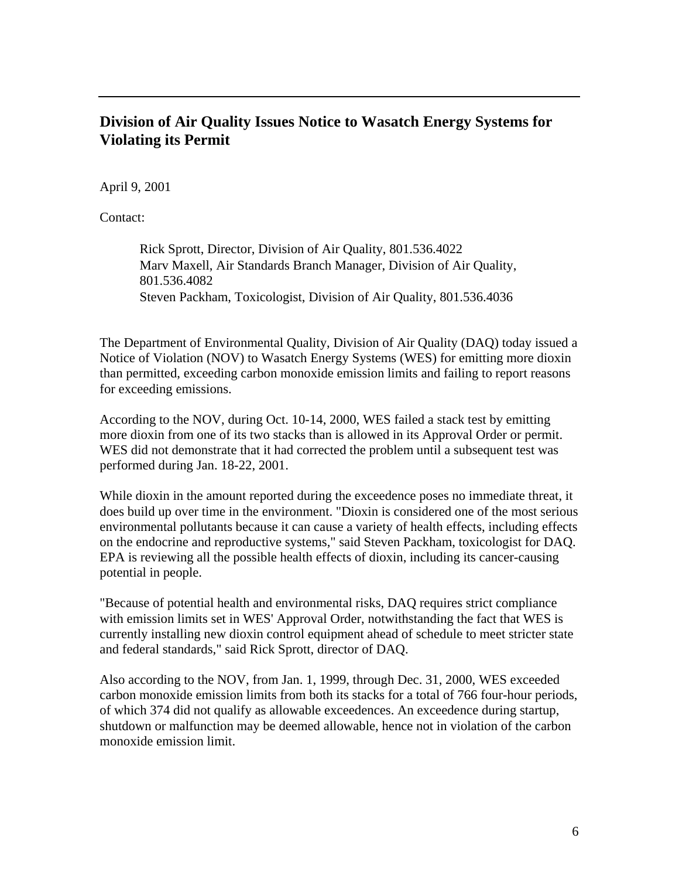#### **Division of Air Quality Issues Notice to Wasatch Energy Systems for Violating its Permit**

April 9, 2001

Contact:

Rick Sprott, Director, Division of Air Quality, 801.536.4022 Marv Maxell, Air Standards Branch Manager, Division of Air Quality, 801.536.4082 Steven Packham, Toxicologist, Division of Air Quality, 801.536.4036

The Department of Environmental Quality, Division of Air Quality (DAQ) today issued a Notice of Violation (NOV) to Wasatch Energy Systems (WES) for emitting more dioxin than permitted, exceeding carbon monoxide emission limits and failing to report reasons for exceeding emissions.

According to the NOV, during Oct. 10-14, 2000, WES failed a stack test by emitting more dioxin from one of its two stacks than is allowed in its Approval Order or permit. WES did not demonstrate that it had corrected the problem until a subsequent test was performed during Jan. 18-22, 2001.

While dioxin in the amount reported during the exceedence poses no immediate threat, it does build up over time in the environment. "Dioxin is considered one of the most serious environmental pollutants because it can cause a variety of health effects, including effects on the endocrine and reproductive systems," said Steven Packham, toxicologist for DAQ. EPA is reviewing all the possible health effects of dioxin, including its cancer-causing potential in people.

"Because of potential health and environmental risks, DAQ requires strict compliance with emission limits set in WES' Approval Order, notwithstanding the fact that WES is currently installing new dioxin control equipment ahead of schedule to meet stricter state and federal standards," said Rick Sprott, director of DAQ.

Also according to the NOV, from Jan. 1, 1999, through Dec. 31, 2000, WES exceeded carbon monoxide emission limits from both its stacks for a total of 766 four-hour periods, of which 374 did not qualify as allowable exceedences. An exceedence during startup, shutdown or malfunction may be deemed allowable, hence not in violation of the carbon monoxide emission limit.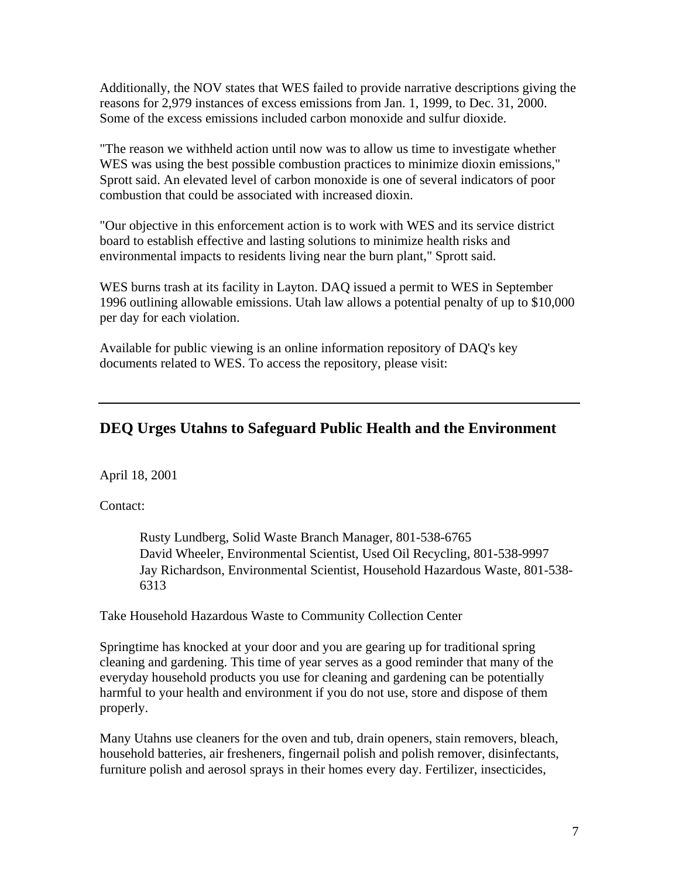Additionally, the NOV states that WES failed to provide narrative descriptions giving the reasons for 2,979 instances of excess emissions from Jan. 1, 1999, to Dec. 31, 2000. Some of the excess emissions included carbon monoxide and sulfur dioxide.

"The reason we withheld action until now was to allow us time to investigate whether WES was using the best possible combustion practices to minimize dioxin emissions," Sprott said. An elevated level of carbon monoxide is one of several indicators of poor combustion that could be associated with increased dioxin.

"Our objective in this enforcement action is to work with WES and its service district board to establish effective and lasting solutions to minimize health risks and environmental impacts to residents living near the burn plant," Sprott said.

WES burns trash at its facility in Layton. DAQ issued a permit to WES in September 1996 outlining allowable emissions. Utah law allows a potential penalty of up to \$10,000 per day for each violation.

Available for public viewing is an online information repository of DAQ's key documents related to WES. To access the repository, please visit:

## **DEQ Urges Utahns to Safeguard Public Health and the Environment**

April 18, 2001

Contact:

Rusty Lundberg, Solid Waste Branch Manager, 801-538-6765 David Wheeler, Environmental Scientist, Used Oil Recycling, 801-538-9997 Jay Richardson, Environmental Scientist, Household Hazardous Waste, 801-538- 6313

Take Household Hazardous Waste to Community Collection Center

Springtime has knocked at your door and you are gearing up for traditional spring cleaning and gardening. This time of year serves as a good reminder that many of the everyday household products you use for cleaning and gardening can be potentially harmful to your health and environment if you do not use, store and dispose of them properly.

Many Utahns use cleaners for the oven and tub, drain openers, stain removers, bleach, household batteries, air fresheners, fingernail polish and polish remover, disinfectants, furniture polish and aerosol sprays in their homes every day. Fertilizer, insecticides,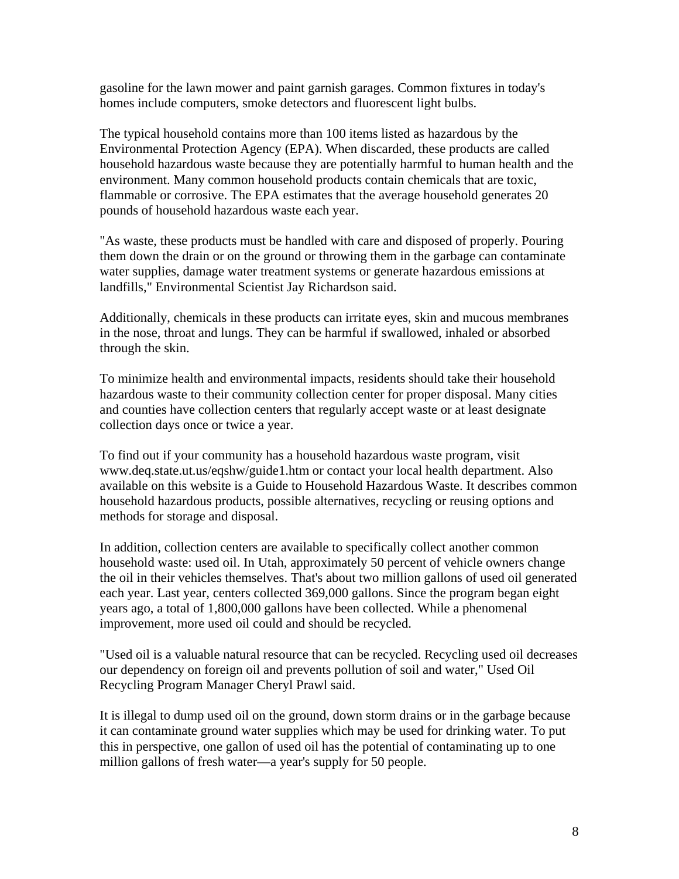gasoline for the lawn mower and paint garnish garages. Common fixtures in today's homes include computers, smoke detectors and fluorescent light bulbs.

The typical household contains more than 100 items listed as hazardous by the Environmental Protection Agency (EPA). When discarded, these products are called household hazardous waste because they are potentially harmful to human health and the environment. Many common household products contain chemicals that are toxic, flammable or corrosive. The EPA estimates that the average household generates 20 pounds of household hazardous waste each year.

"As waste, these products must be handled with care and disposed of properly. Pouring them down the drain or on the ground or throwing them in the garbage can contaminate water supplies, damage water treatment systems or generate hazardous emissions at landfills," Environmental Scientist Jay Richardson said.

Additionally, chemicals in these products can irritate eyes, skin and mucous membranes in the nose, throat and lungs. They can be harmful if swallowed, inhaled or absorbed through the skin.

To minimize health and environmental impacts, residents should take their household hazardous waste to their community collection center for proper disposal. Many cities and counties have collection centers that regularly accept waste or at least designate collection days once or twice a year.

To find out if your community has a household hazardous waste program, visit www.deq.state.ut.us/eqshw/guide1.htm or contact your local health department. Also available on this website is a Guide to Household Hazardous Waste. It describes common household hazardous products, possible alternatives, recycling or reusing options and methods for storage and disposal.

In addition, collection centers are available to specifically collect another common household waste: used oil. In Utah, approximately 50 percent of vehicle owners change the oil in their vehicles themselves. That's about two million gallons of used oil generated each year. Last year, centers collected 369,000 gallons. Since the program began eight years ago, a total of 1,800,000 gallons have been collected. While a phenomenal improvement, more used oil could and should be recycled.

"Used oil is a valuable natural resource that can be recycled. Recycling used oil decreases our dependency on foreign oil and prevents pollution of soil and water," Used Oil Recycling Program Manager Cheryl Prawl said.

It is illegal to dump used oil on the ground, down storm drains or in the garbage because it can contaminate ground water supplies which may be used for drinking water. To put this in perspective, one gallon of used oil has the potential of contaminating up to one million gallons of fresh water—a year's supply for 50 people.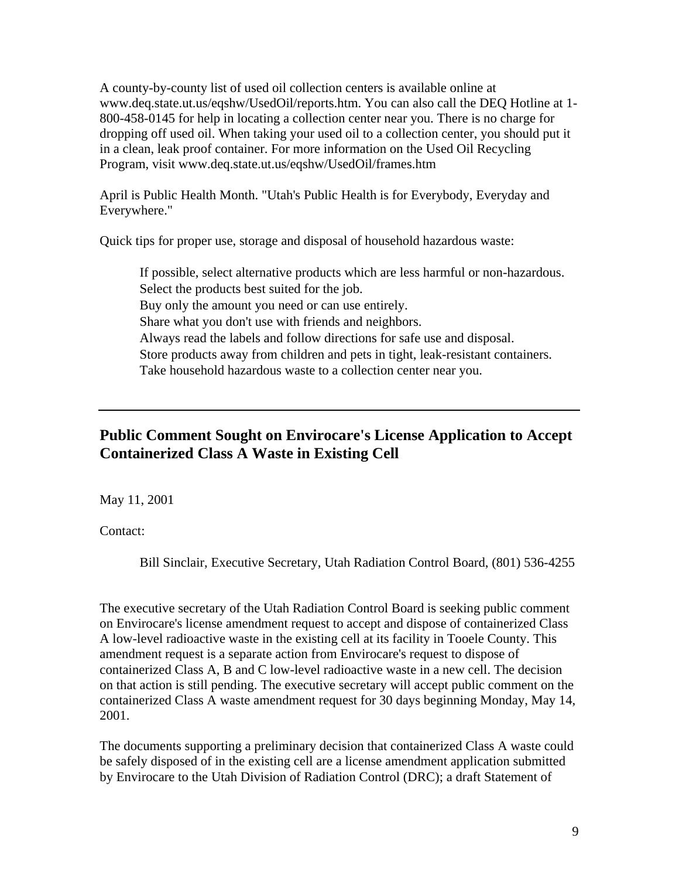A county-by-county list of used oil collection centers is available online at www.deq.state.ut.us/eqshw/UsedOil/reports.htm. You can also call the DEQ Hotline at 1- 800-458-0145 for help in locating a collection center near you. There is no charge for dropping off used oil. When taking your used oil to a collection center, you should put it in a clean, leak proof container. For more information on the Used Oil Recycling Program, visit www.deq.state.ut.us/eqshw/UsedOil/frames.htm

April is Public Health Month. "Utah's Public Health is for Everybody, Everyday and Everywhere."

Quick tips for proper use, storage and disposal of household hazardous waste:

If possible, select alternative products which are less harmful or non-hazardous. Select the products best suited for the job. Buy only the amount you need or can use entirely. Share what you don't use with friends and neighbors. Always read the labels and follow directions for safe use and disposal. Store products away from children and pets in tight, leak-resistant containers. Take household hazardous waste to a collection center near you.

## **Public Comment Sought on Envirocare's License Application to Accept Containerized Class A Waste in Existing Cell**

May 11, 2001

Contact:

Bill Sinclair, Executive Secretary, Utah Radiation Control Board, (801) 536-4255

The executive secretary of the Utah Radiation Control Board is seeking public comment on Envirocare's license amendment request to accept and dispose of containerized Class A low-level radioactive waste in the existing cell at its facility in Tooele County. This amendment request is a separate action from Envirocare's request to dispose of containerized Class A, B and C low-level radioactive waste in a new cell. The decision on that action is still pending. The executive secretary will accept public comment on the containerized Class A waste amendment request for 30 days beginning Monday, May 14, 2001.

The documents supporting a preliminary decision that containerized Class A waste could be safely disposed of in the existing cell are a license amendment application submitted by Envirocare to the Utah Division of Radiation Control (DRC); a draft Statement of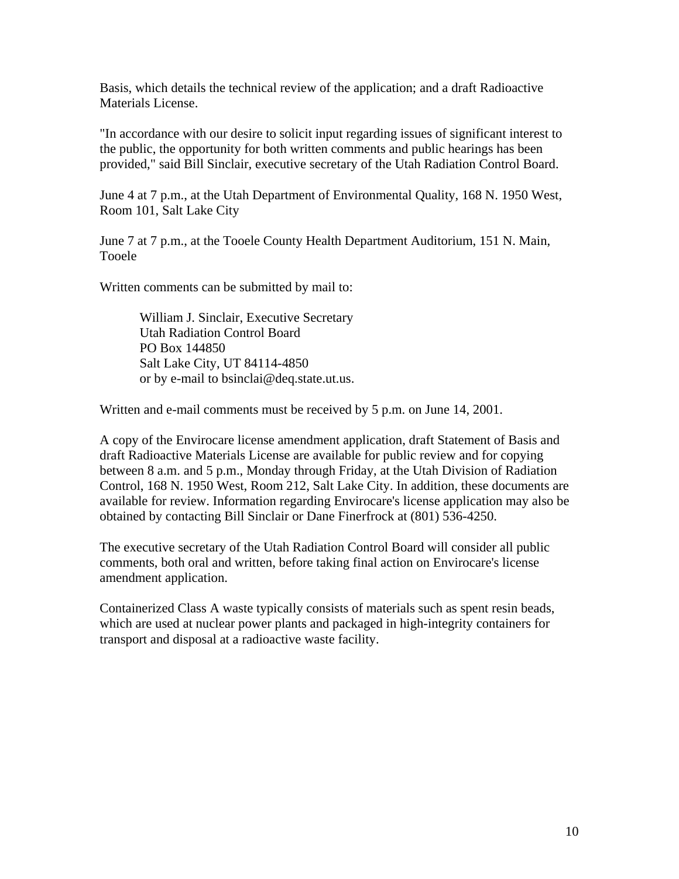Basis, which details the technical review of the application; and a draft Radioactive Materials License.

"In accordance with our desire to solicit input regarding issues of significant interest to the public, the opportunity for both written comments and public hearings has been provided," said Bill Sinclair, executive secretary of the Utah Radiation Control Board.

June 4 at 7 p.m., at the Utah Department of Environmental Quality, 168 N. 1950 West, Room 101, Salt Lake City

June 7 at 7 p.m., at the Tooele County Health Department Auditorium, 151 N. Main, Tooele

Written comments can be submitted by mail to:

William J. Sinclair, Executive Secretary Utah Radiation Control Board PO Box 144850 Salt Lake City, UT 84114-4850 or by e-mail to bsinclai@deq.state.ut.us.

Written and e-mail comments must be received by 5 p.m. on June 14, 2001.

A copy of the Envirocare license amendment application, draft Statement of Basis and draft Radioactive Materials License are available for public review and for copying between 8 a.m. and 5 p.m., Monday through Friday, at the Utah Division of Radiation Control, 168 N. 1950 West, Room 212, Salt Lake City. In addition, these documents are available for review. Information regarding Envirocare's license application may also be obtained by contacting Bill Sinclair or Dane Finerfrock at (801) 536-4250.

The executive secretary of the Utah Radiation Control Board will consider all public comments, both oral and written, before taking final action on Envirocare's license amendment application.

Containerized Class A waste typically consists of materials such as spent resin beads, which are used at nuclear power plants and packaged in high-integrity containers for transport and disposal at a radioactive waste facility.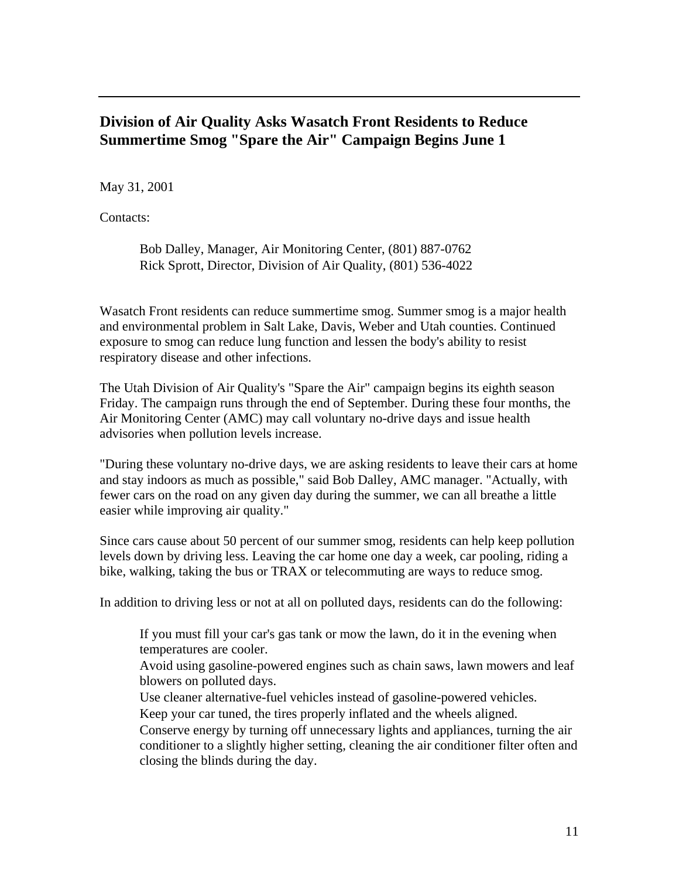#### **Division of Air Quality Asks Wasatch Front Residents to Reduce Summertime Smog "Spare the Air" Campaign Begins June 1**

May 31, 2001

Contacts:

Bob Dalley, Manager, Air Monitoring Center, (801) 887-0762 Rick Sprott, Director, Division of Air Quality, (801) 536-4022

Wasatch Front residents can reduce summertime smog. Summer smog is a major health and environmental problem in Salt Lake, Davis, Weber and Utah counties. Continued exposure to smog can reduce lung function and lessen the body's ability to resist respiratory disease and other infections.

The Utah Division of Air Quality's "Spare the Air" campaign begins its eighth season Friday. The campaign runs through the end of September. During these four months, the Air Monitoring Center (AMC) may call voluntary no-drive days and issue health advisories when pollution levels increase.

"During these voluntary no-drive days, we are asking residents to leave their cars at home and stay indoors as much as possible," said Bob Dalley, AMC manager. "Actually, with fewer cars on the road on any given day during the summer, we can all breathe a little easier while improving air quality."

Since cars cause about 50 percent of our summer smog, residents can help keep pollution levels down by driving less. Leaving the car home one day a week, car pooling, riding a bike, walking, taking the bus or TRAX or telecommuting are ways to reduce smog.

In addition to driving less or not at all on polluted days, residents can do the following:

If you must fill your car's gas tank or mow the lawn, do it in the evening when temperatures are cooler.

Avoid using gasoline-powered engines such as chain saws, lawn mowers and leaf blowers on polluted days.

Use cleaner alternative-fuel vehicles instead of gasoline-powered vehicles. Keep your car tuned, the tires properly inflated and the wheels aligned.

Conserve energy by turning off unnecessary lights and appliances, turning the air conditioner to a slightly higher setting, cleaning the air conditioner filter often and closing the blinds during the day.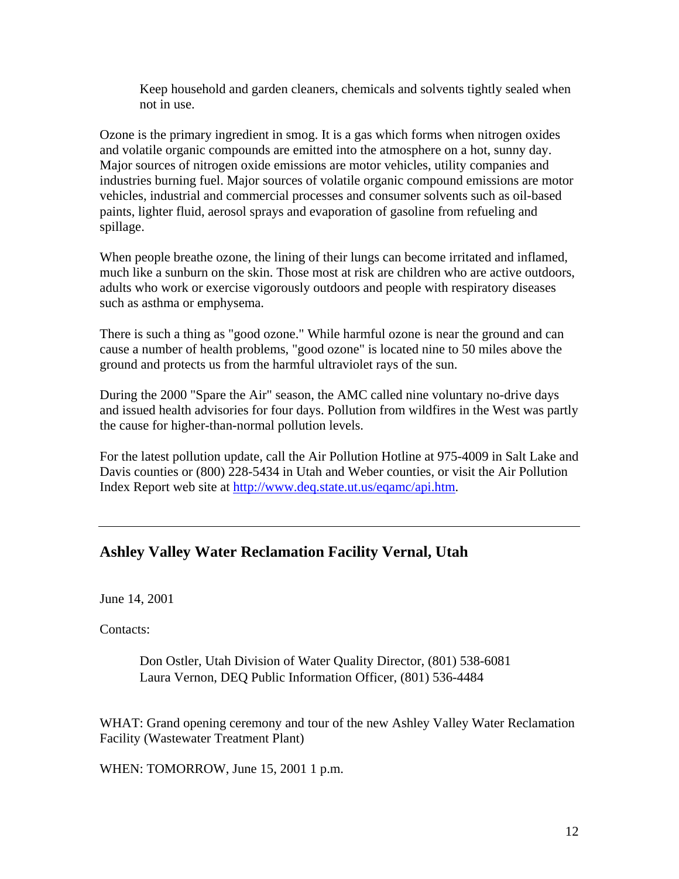Keep household and garden cleaners, chemicals and solvents tightly sealed when not in use.

Ozone is the primary ingredient in smog. It is a gas which forms when nitrogen oxides and volatile organic compounds are emitted into the atmosphere on a hot, sunny day. Major sources of nitrogen oxide emissions are motor vehicles, utility companies and industries burning fuel. Major sources of volatile organic compound emissions are motor vehicles, industrial and commercial processes and consumer solvents such as oil-based paints, lighter fluid, aerosol sprays and evaporation of gasoline from refueling and spillage.

When people breathe ozone, the lining of their lungs can become irritated and inflamed, much like a sunburn on the skin. Those most at risk are children who are active outdoors, adults who work or exercise vigorously outdoors and people with respiratory diseases such as asthma or emphysema.

There is such a thing as "good ozone." While harmful ozone is near the ground and can cause a number of health problems, "good ozone" is located nine to 50 miles above the ground and protects us from the harmful ultraviolet rays of the sun.

During the 2000 "Spare the Air" season, the AMC called nine voluntary no-drive days and issued health advisories for four days. Pollution from wildfires in the West was partly the cause for higher-than-normal pollution levels.

For the latest pollution update, call the Air Pollution Hotline at 975-4009 in Salt Lake and Davis counties or (800) 228-5434 in Utah and Weber counties, or visit the Air Pollution Index Report web site at http://www.deq.state.ut.us/eqamc/api.htm.

#### **Ashley Valley Water Reclamation Facility Vernal, Utah**

June 14, 2001

Contacts:

Don Ostler, Utah Division of Water Quality Director, (801) 538-6081 Laura Vernon, DEQ Public Information Officer, (801) 536-4484

WHAT: Grand opening ceremony and tour of the new Ashley Valley Water Reclamation Facility (Wastewater Treatment Plant)

WHEN: TOMORROW, June 15, 2001 1 p.m.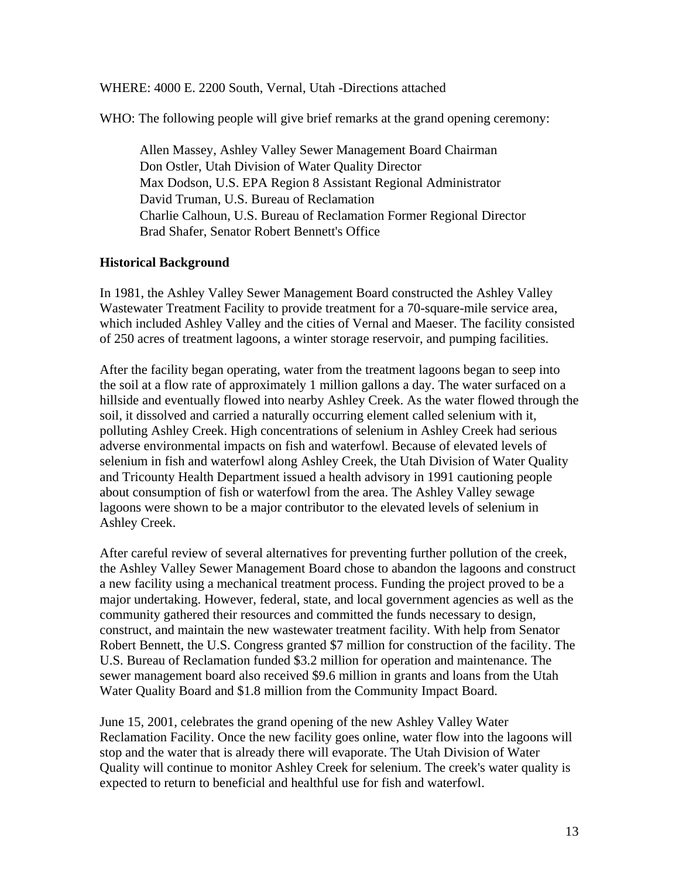WHERE: 4000 E. 2200 South, Vernal, Utah -Directions attached

WHO: The following people will give brief remarks at the grand opening ceremony:

Allen Massey, Ashley Valley Sewer Management Board Chairman Don Ostler, Utah Division of Water Quality Director Max Dodson, U.S. EPA Region 8 Assistant Regional Administrator David Truman, U.S. Bureau of Reclamation Charlie Calhoun, U.S. Bureau of Reclamation Former Regional Director Brad Shafer, Senator Robert Bennett's Office

#### **Historical Background**

In 1981, the Ashley Valley Sewer Management Board constructed the Ashley Valley Wastewater Treatment Facility to provide treatment for a 70-square-mile service area, which included Ashley Valley and the cities of Vernal and Maeser. The facility consisted of 250 acres of treatment lagoons, a winter storage reservoir, and pumping facilities.

After the facility began operating, water from the treatment lagoons began to seep into the soil at a flow rate of approximately 1 million gallons a day. The water surfaced on a hillside and eventually flowed into nearby Ashley Creek. As the water flowed through the soil, it dissolved and carried a naturally occurring element called selenium with it, polluting Ashley Creek. High concentrations of selenium in Ashley Creek had serious adverse environmental impacts on fish and waterfowl. Because of elevated levels of selenium in fish and waterfowl along Ashley Creek, the Utah Division of Water Quality and Tricounty Health Department issued a health advisory in 1991 cautioning people about consumption of fish or waterfowl from the area. The Ashley Valley sewage lagoons were shown to be a major contributor to the elevated levels of selenium in Ashley Creek.

After careful review of several alternatives for preventing further pollution of the creek, the Ashley Valley Sewer Management Board chose to abandon the lagoons and construct a new facility using a mechanical treatment process. Funding the project proved to be a major undertaking. However, federal, state, and local government agencies as well as the community gathered their resources and committed the funds necessary to design, construct, and maintain the new wastewater treatment facility. With help from Senator Robert Bennett, the U.S. Congress granted \$7 million for construction of the facility. The U.S. Bureau of Reclamation funded \$3.2 million for operation and maintenance. The sewer management board also received \$9.6 million in grants and loans from the Utah Water Quality Board and \$1.8 million from the Community Impact Board.

June 15, 2001, celebrates the grand opening of the new Ashley Valley Water Reclamation Facility. Once the new facility goes online, water flow into the lagoons will stop and the water that is already there will evaporate. The Utah Division of Water Quality will continue to monitor Ashley Creek for selenium. The creek's water quality is expected to return to beneficial and healthful use for fish and waterfowl.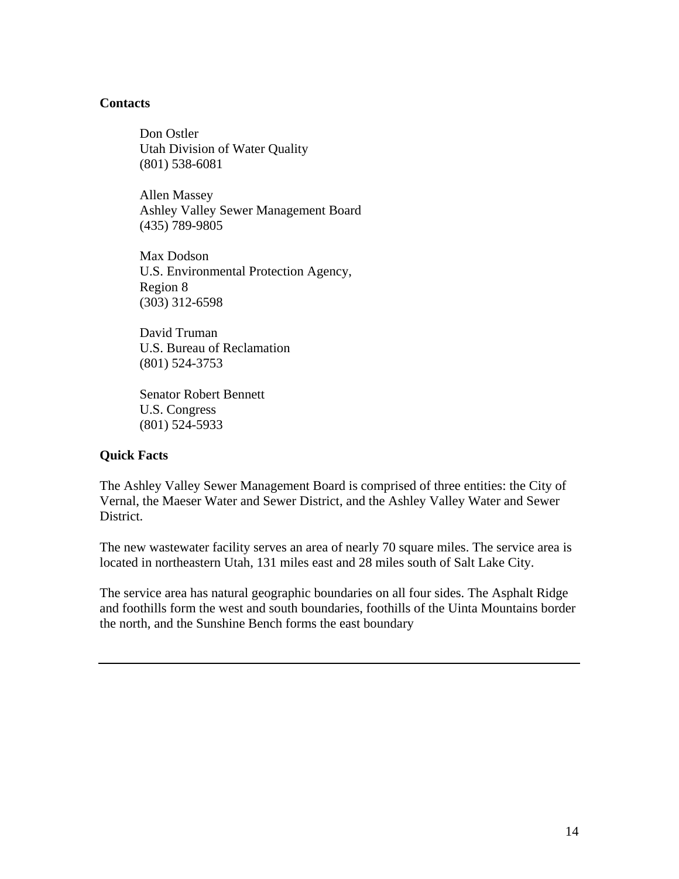#### **Contacts**

Don Ostler Utah Division of Water Quality (801) 538-6081

Allen Massey Ashley Valley Sewer Management Board (435) 789-9805

Max Dodson U.S. Environmental Protection Agency, Region 8 (303) 312-6598

David Truman U.S. Bureau of Reclamation (801) 524-3753

Senator Robert Bennett U.S. Congress (801) 524-5933

#### **Quick Facts**

The Ashley Valley Sewer Management Board is comprised of three entities: the City of Vernal, the Maeser Water and Sewer District, and the Ashley Valley Water and Sewer District.

The new wastewater facility serves an area of nearly 70 square miles. The service area is located in northeastern Utah, 131 miles east and 28 miles south of Salt Lake City.

The service area has natural geographic boundaries on all four sides. The Asphalt Ridge and foothills form the west and south boundaries, foothills of the Uinta Mountains border the north, and the Sunshine Bench forms the east boundary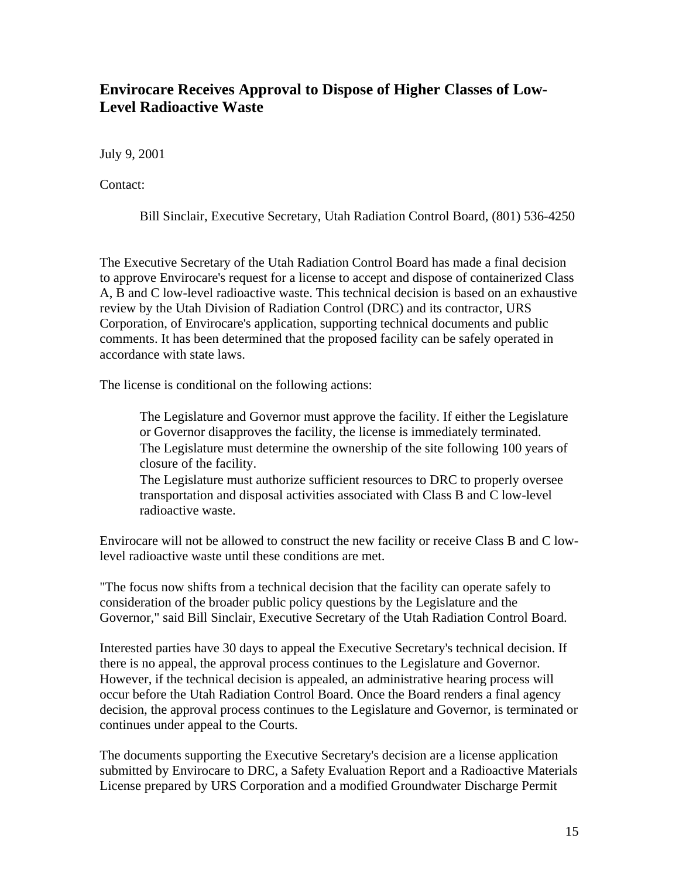### **Envirocare Receives Approval to Dispose of Higher Classes of Low-Level Radioactive Waste**

July 9, 2001

Contact:

Bill Sinclair, Executive Secretary, Utah Radiation Control Board, (801) 536-4250

The Executive Secretary of the Utah Radiation Control Board has made a final decision to approve Envirocare's request for a license to accept and dispose of containerized Class A, B and C low-level radioactive waste. This technical decision is based on an exhaustive review by the Utah Division of Radiation Control (DRC) and its contractor, URS Corporation, of Envirocare's application, supporting technical documents and public comments. It has been determined that the proposed facility can be safely operated in accordance with state laws.

The license is conditional on the following actions:

The Legislature and Governor must approve the facility. If either the Legislature or Governor disapproves the facility, the license is immediately terminated. The Legislature must determine the ownership of the site following 100 years of closure of the facility.

The Legislature must authorize sufficient resources to DRC to properly oversee transportation and disposal activities associated with Class B and C low-level radioactive waste.

Envirocare will not be allowed to construct the new facility or receive Class B and C lowlevel radioactive waste until these conditions are met.

"The focus now shifts from a technical decision that the facility can operate safely to consideration of the broader public policy questions by the Legislature and the Governor," said Bill Sinclair, Executive Secretary of the Utah Radiation Control Board.

Interested parties have 30 days to appeal the Executive Secretary's technical decision. If there is no appeal, the approval process continues to the Legislature and Governor. However, if the technical decision is appealed, an administrative hearing process will occur before the Utah Radiation Control Board. Once the Board renders a final agency decision, the approval process continues to the Legislature and Governor, is terminated or continues under appeal to the Courts.

The documents supporting the Executive Secretary's decision are a license application submitted by Envirocare to DRC, a Safety Evaluation Report and a Radioactive Materials License prepared by URS Corporation and a modified Groundwater Discharge Permit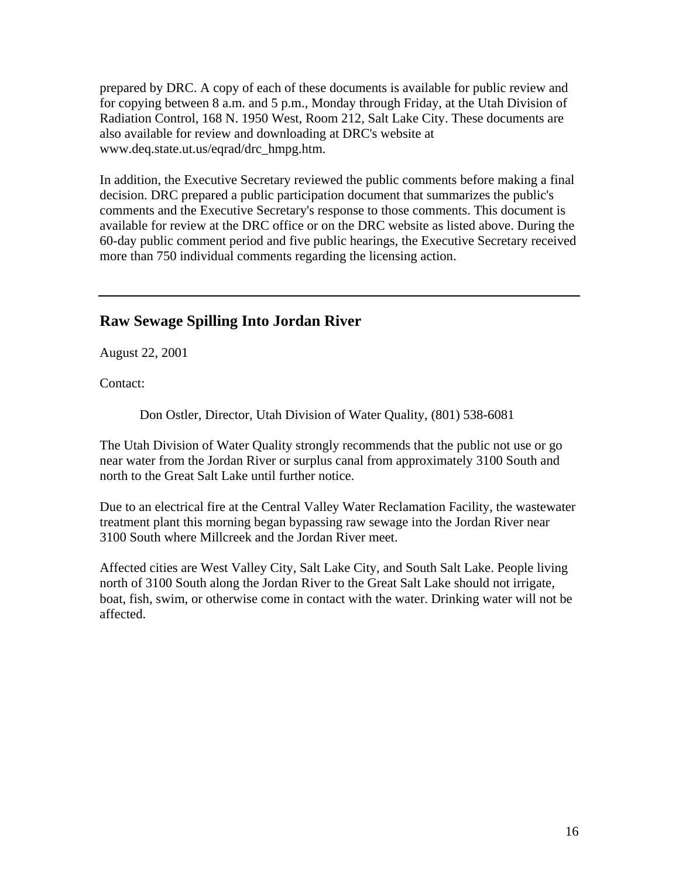prepared by DRC. A copy of each of these documents is available for public review and for copying between 8 a.m. and 5 p.m., Monday through Friday, at the Utah Division of Radiation Control, 168 N. 1950 West, Room 212, Salt Lake City. These documents are also available for review and downloading at DRC's website at www.deq.state.ut.us/eqrad/drc\_hmpg.htm.

In addition, the Executive Secretary reviewed the public comments before making a final decision. DRC prepared a public participation document that summarizes the public's comments and the Executive Secretary's response to those comments. This document is available for review at the DRC office or on the DRC website as listed above. During the 60-day public comment period and five public hearings, the Executive Secretary received more than 750 individual comments regarding the licensing action.

#### **Raw Sewage Spilling Into Jordan River**

August 22, 2001

Contact:

Don Ostler, Director, Utah Division of Water Quality, (801) 538-6081

The Utah Division of Water Quality strongly recommends that the public not use or go near water from the Jordan River or surplus canal from approximately 3100 South and north to the Great Salt Lake until further notice.

Due to an electrical fire at the Central Valley Water Reclamation Facility, the wastewater treatment plant this morning began bypassing raw sewage into the Jordan River near 3100 South where Millcreek and the Jordan River meet.

Affected cities are West Valley City, Salt Lake City, and South Salt Lake. People living north of 3100 South along the Jordan River to the Great Salt Lake should not irrigate, boat, fish, swim, or otherwise come in contact with the water. Drinking water will not be affected.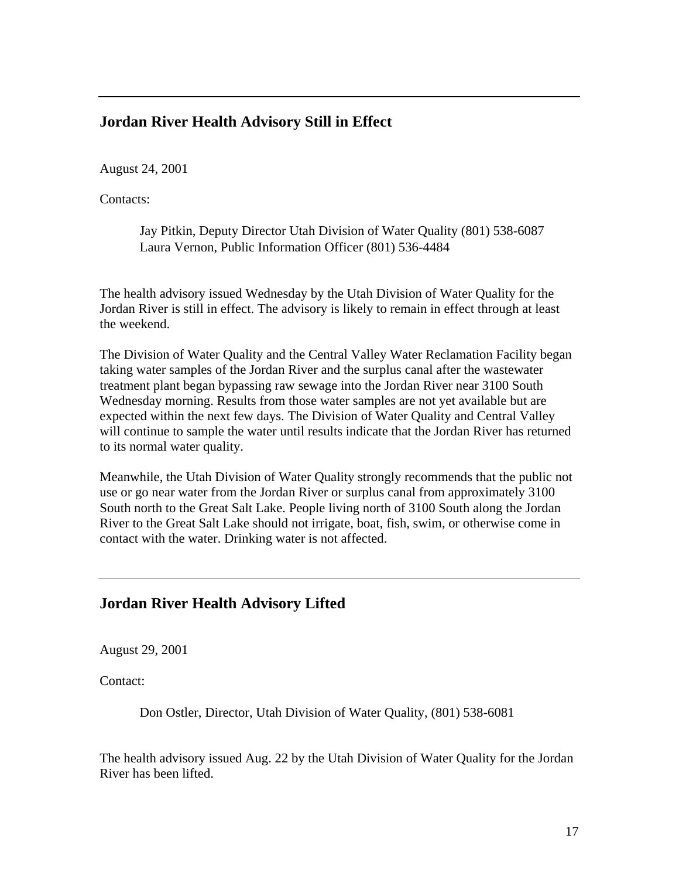#### **Jordan River Health Advisory Still in Effect**

August 24, 2001

Contacts:

Jay Pitkin, Deputy Director Utah Division of Water Quality (801) 538-6087 Laura Vernon, Public Information Officer (801) 536-4484

The health advisory issued Wednesday by the Utah Division of Water Quality for the Jordan River is still in effect. The advisory is likely to remain in effect through at least the weekend.

The Division of Water Quality and the Central Valley Water Reclamation Facility began taking water samples of the Jordan River and the surplus canal after the wastewater treatment plant began bypassing raw sewage into the Jordan River near 3100 South Wednesday morning. Results from those water samples are not yet available but are expected within the next few days. The Division of Water Quality and Central Valley will continue to sample the water until results indicate that the Jordan River has returned to its normal water quality.

Meanwhile, the Utah Division of Water Quality strongly recommends that the public not use or go near water from the Jordan River or surplus canal from approximately 3100 South north to the Great Salt Lake. People living north of 3100 South along the Jordan River to the Great Salt Lake should not irrigate, boat, fish, swim, or otherwise come in contact with the water. Drinking water is not affected.

#### **Jordan River Health Advisory Lifted**

August 29, 2001

Contact:

Don Ostler, Director, Utah Division of Water Quality, (801) 538-6081

The health advisory issued Aug. 22 by the Utah Division of Water Quality for the Jordan River has been lifted.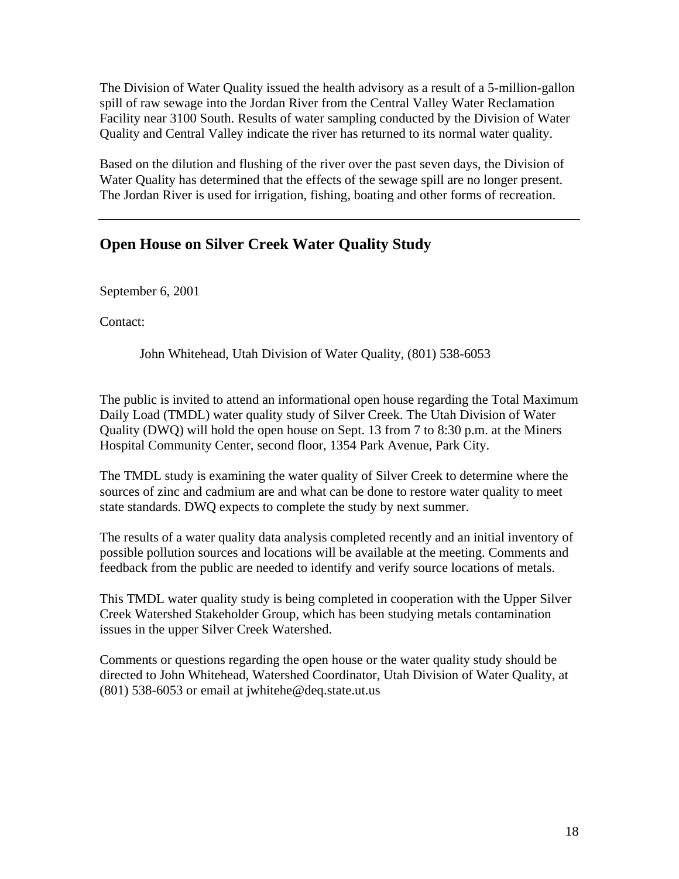The Division of Water Quality issued the health advisory as a result of a 5-million-gallon spill of raw sewage into the Jordan River from the Central Valley Water Reclamation Facility near 3100 South. Results of water sampling conducted by the Division of Water Quality and Central Valley indicate the river has returned to its normal water quality.

Based on the dilution and flushing of the river over the past seven days, the Division of Water Quality has determined that the effects of the sewage spill are no longer present. The Jordan River is used for irrigation, fishing, boating and other forms of recreation.

## **Open House on Silver Creek Water Quality Study**

September 6, 2001

Contact:

John Whitehead, Utah Division of Water Quality, (801) 538-6053

The public is invited to attend an informational open house regarding the Total Maximum Daily Load (TMDL) water quality study of Silver Creek. The Utah Division of Water Quality (DWQ) will hold the open house on Sept. 13 from 7 to 8:30 p.m. at the Miners Hospital Community Center, second floor, 1354 Park Avenue, Park City.

The TMDL study is examining the water quality of Silver Creek to determine where the sources of zinc and cadmium are and what can be done to restore water quality to meet state standards. DWQ expects to complete the study by next summer.

The results of a water quality data analysis completed recently and an initial inventory of possible pollution sources and locations will be available at the meeting. Comments and feedback from the public are needed to identify and verify source locations of metals.

This TMDL water quality study is being completed in cooperation with the Upper Silver Creek Watershed Stakeholder Group, which has been studying metals contamination issues in the upper Silver Creek Watershed.

Comments or questions regarding the open house or the water quality study should be directed to John Whitehead, Watershed Coordinator, Utah Division of Water Quality, at (801) 538-6053 or email at jwhitehe@deq.state.ut.us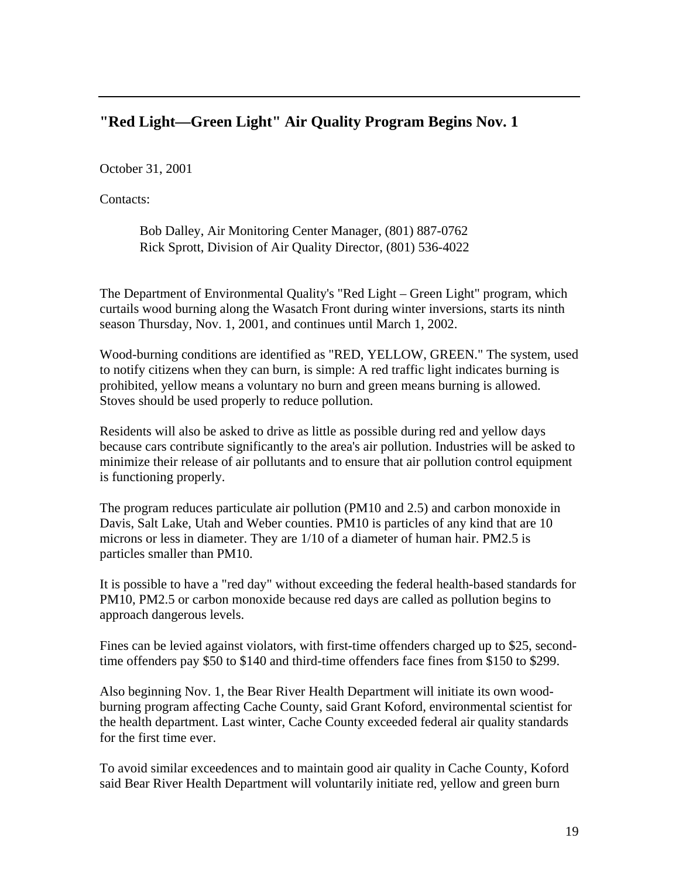### **"Red Light—Green Light" Air Quality Program Begins Nov. 1**

October 31, 2001

Contacts:

Bob Dalley, Air Monitoring Center Manager, (801) 887-0762 Rick Sprott, Division of Air Quality Director, (801) 536-4022

The Department of Environmental Quality's "Red Light – Green Light" program, which curtails wood burning along the Wasatch Front during winter inversions, starts its ninth season Thursday, Nov. 1, 2001, and continues until March 1, 2002.

Wood-burning conditions are identified as "RED, YELLOW, GREEN." The system, used to notify citizens when they can burn, is simple: A red traffic light indicates burning is prohibited, yellow means a voluntary no burn and green means burning is allowed. Stoves should be used properly to reduce pollution.

Residents will also be asked to drive as little as possible during red and yellow days because cars contribute significantly to the area's air pollution. Industries will be asked to minimize their release of air pollutants and to ensure that air pollution control equipment is functioning properly.

The program reduces particulate air pollution (PM10 and 2.5) and carbon monoxide in Davis, Salt Lake, Utah and Weber counties. PM10 is particles of any kind that are 10 microns or less in diameter. They are 1/10 of a diameter of human hair. PM2.5 is particles smaller than PM10.

It is possible to have a "red day" without exceeding the federal health-based standards for PM10, PM2.5 or carbon monoxide because red days are called as pollution begins to approach dangerous levels.

Fines can be levied against violators, with first-time offenders charged up to \$25, secondtime offenders pay \$50 to \$140 and third-time offenders face fines from \$150 to \$299.

Also beginning Nov. 1, the Bear River Health Department will initiate its own woodburning program affecting Cache County, said Grant Koford, environmental scientist for the health department. Last winter, Cache County exceeded federal air quality standards for the first time ever.

To avoid similar exceedences and to maintain good air quality in Cache County, Koford said Bear River Health Department will voluntarily initiate red, yellow and green burn